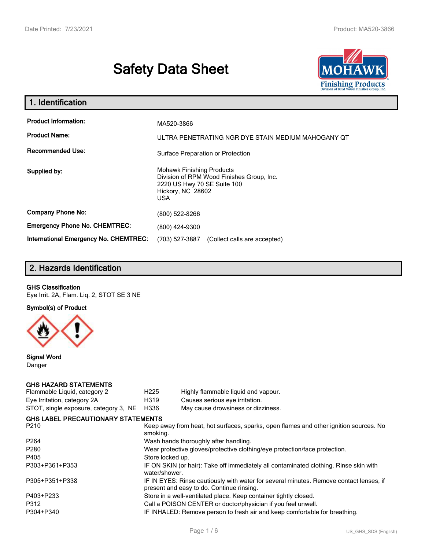# **Safety Data Sheet**



| 1. Identification                                                              |                                                                                                                                          |
|--------------------------------------------------------------------------------|------------------------------------------------------------------------------------------------------------------------------------------|
| <b>Product Information:</b><br><b>Product Name:</b><br><b>Recommended Use:</b> | MA520-3866<br>ULTRA PENETRATING NGR DYE STAIN MEDIUM MAHOGANY OT<br>Surface Preparation or Protection                                    |
| Supplied by:                                                                   | <b>Mohawk Finishing Products</b><br>Division of RPM Wood Finishes Group, Inc.<br>2220 US Hwy 70 SE Suite 100<br>Hickory, NC 28602<br>USA |
| <b>Company Phone No:</b>                                                       | (800) 522-8266                                                                                                                           |
| <b>Emergency Phone No. CHEMTREC:</b>                                           | (800) 424-9300                                                                                                                           |
| <b>International Emergency No. CHEMTREC:</b>                                   | (703) 527-3887<br>(Collect calls are accepted)                                                                                           |

# **2. Hazards Identification**

#### **GHS Classification**

Eye Irrit. 2A, Flam. Liq. 2, STOT SE 3 NE

**Symbol(s) of Product**



**Signal Word** Danger

#### **GHS HAZARD STATEMENTS**

| Flammable Liquid, category 2              | H <sub>225</sub>                                                                                                                    | Highly flammable liquid and vapour.                                                   |  |  |
|-------------------------------------------|-------------------------------------------------------------------------------------------------------------------------------------|---------------------------------------------------------------------------------------|--|--|
| Eye Irritation, category 2A               | H319                                                                                                                                | Causes serious eye irritation.                                                        |  |  |
| STOT, single exposure, category 3, NE     | H336                                                                                                                                | May cause drowsiness or dizziness.                                                    |  |  |
| <b>GHS LABEL PRECAUTIONARY STATEMENTS</b> |                                                                                                                                     |                                                                                       |  |  |
| P <sub>210</sub>                          | Keep away from heat, hot surfaces, sparks, open flames and other ignition sources. No<br>smoking.                                   |                                                                                       |  |  |
| P <sub>264</sub>                          | Wash hands thoroughly after handling.                                                                                               |                                                                                       |  |  |
| P <sub>280</sub>                          | Wear protective gloves/protective clothing/eye protection/face protection.                                                          |                                                                                       |  |  |
| P405                                      | Store locked up.                                                                                                                    |                                                                                       |  |  |
| P303+P361+P353                            | water/shower.                                                                                                                       | IF ON SKIN (or hair): Take off immediately all contaminated clothing. Rinse skin with |  |  |
| P305+P351+P338                            | IF IN EYES: Rinse cautiously with water for several minutes. Remove contact lenses, if<br>present and easy to do. Continue rinsing. |                                                                                       |  |  |
| P403+P233                                 |                                                                                                                                     | Store in a well-ventilated place. Keep container tightly closed.                      |  |  |
| P312                                      | Call a POISON CENTER or doctor/physician if you feel unwell.                                                                        |                                                                                       |  |  |
| P304+P340                                 | IF INHALED: Remove person to fresh air and keep comfortable for breathing.                                                          |                                                                                       |  |  |
|                                           |                                                                                                                                     |                                                                                       |  |  |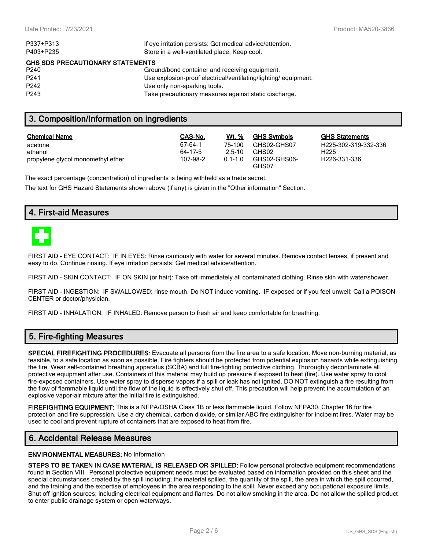| P337+P313                               | If eye irritation persists: Get medical advice/attention.      |
|-----------------------------------------|----------------------------------------------------------------|
| P403+P235                               | Store in a well-ventilated place. Keep cool.                   |
| <b>GHS SDS PRECAUTIONARY STATEMENTS</b> |                                                                |
| P <sub>240</sub>                        | Ground/bond container and receiving equipment.                 |
| P <sub>241</sub>                        | Use explosion-proof electrical/ventilating/lighting/equipment. |
| P <sub>242</sub>                        | Use only non-sparking tools.                                   |
| P <sub>243</sub>                        | Take precautionary measures against static discharge.          |

## **3. Composition/Information on ingredients**

| <b>Chemical Name</b>              | CAS-No.  | Wt. %       | <b>GHS Symbols</b>    | GHS  |
|-----------------------------------|----------|-------------|-----------------------|------|
| acetone                           | 67-64-1  | 75-100      | GHS02-GHS07           | H225 |
| ethanol                           | 64-17-5  | $2.5 - 10$  | GHS02                 | H225 |
| propylene glycol monomethyl ether | 107-98-2 | $0.1 - 1.0$ | GHS02-GHS06-<br>GHS07 | H226 |

**GHS Statements** H225-302-319-332-336 H226-331-336

The exact percentage (concentration) of ingredients is being withheld as a trade secret.

The text for GHS Hazard Statements shown above (if any) is given in the "Other information" Section.

## **4. First-aid Measures**



FIRST AID - EYE CONTACT: IF IN EYES: Rinse cautiously with water for several minutes. Remove contact lenses, if present and easy to do. Continue rinsing. If eye irritation persists: Get medical advice/attention.

FIRST AID - SKIN CONTACT: IF ON SKIN (or hair): Take off immediately all contaminated clothing. Rinse skin with water/shower.

FIRST AID - INGESTION: IF SWALLOWED: rinse mouth. Do NOT induce vomiting. IF exposed or if you feel unwell: Call a POISON CENTER or doctor/physician.

FIRST AID - INHALATION: IF INHALED: Remove person to fresh air and keep comfortable for breathing.

# **5. Fire-fighting Measures**

**SPECIAL FIREFIGHTING PROCEDURES:** Evacuate all persons from the fire area to a safe location. Move non-burning material, as feasible, to a safe location as soon as possible. Fire fighters should be protected from potential explosion hazards while extinguishing the fire. Wear self-contained breathing apparatus (SCBA) and full fire-fighting protective clothing. Thoroughly decontaminate all protective equipment after use. Containers of this material may build up pressure if exposed to heat (fire). Use water spray to cool fire-exposed containers. Use water spray to disperse vapors if a spill or leak has not ignited. DO NOT extinguish a fire resulting from the flow of flammable liquid until the flow of the liquid is effectively shut off. This precaution will help prevent the accumulation of an explosive vapor-air mixture after the initial fire is extinguished.

**FIREFIGHTING EQUIPMENT:** This is a NFPA/OSHA Class 1B or less flammable liquid. Follow NFPA30, Chapter 16 for fire protection and fire suppression. Use a dry chemical, carbon dioxide, or similar ABC fire extinguisher for incipeint fires. Water may be used to cool and prevent rupture of containers that are exposed to heat from fire.

# **6. Accidental Release Measures**

#### **ENVIRONMENTAL MEASURES:** No Information

**STEPS TO BE TAKEN IN CASE MATERIAL IS RELEASED OR SPILLED:** Follow personal protective equipment recommendations found in Section VIII. Personal protective equipment needs must be evaluated based on information provided on this sheet and the special circumstances created by the spill including; the material spilled, the quantity of the spill, the area in which the spill occurred, and the training and the expertise of employees in the area responding to the spill. Never exceed any occupational exposure limits. Shut off ignition sources; including electrical equipment and flames. Do not allow smoking in the area. Do not allow the spilled product to enter public drainage system or open waterways.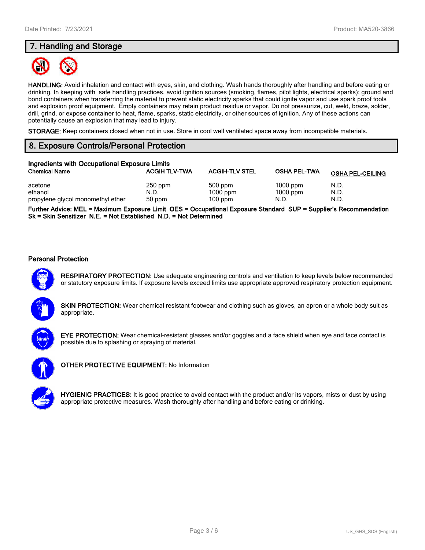# **7. Handling and Storage**



**HANDLING:** Avoid inhalation and contact with eyes, skin, and clothing. Wash hands thoroughly after handling and before eating or drinking. In keeping with safe handling practices, avoid ignition sources (smoking, flames, pilot lights, electrical sparks); ground and bond containers when transferring the material to prevent static electricity sparks that could ignite vapor and use spark proof tools and explosion proof equipment. Empty containers may retain product residue or vapor. Do not pressurize, cut, weld, braze, solder, drill, grind, or expose container to heat, flame, sparks, static electricity, or other sources of ignition. Any of these actions can potentially cause an explosion that may lead to injury.

**STORAGE:** Keep containers closed when not in use. Store in cool well ventilated space away from incompatible materials.

# **8. Exposure Controls/Personal Protection**

| Ingredients with Occupational Exposure Limits |                      |                         |                     |                         |  |
|-----------------------------------------------|----------------------|-------------------------|---------------------|-------------------------|--|
| <b>Chemical Name</b>                          | <b>ACGIH TLV-TWA</b> | <b>ACGIH-TLV STEL</b>   | <b>OSHA PEL-TWA</b> | <b>OSHA PEL-CEILING</b> |  |
| acetone                                       | $250$ ppm            | 500 ppm                 | $1000$ ppm          | N.D.                    |  |
| ethanol<br>propylene glycol monomethyl ether  | N.D.<br>50 ppm       | $1000$ ppm<br>$100$ ppm | $1000$ ppm<br>N.D.  | N.D.<br>N.D.            |  |

**Further Advice: MEL = Maximum Exposure Limit OES = Occupational Exposure Standard SUP = Supplier's Recommendation Sk = Skin Sensitizer N.E. = Not Established N.D. = Not Determined**

#### **Personal Protection**



**RESPIRATORY PROTECTION:** Use adequate engineering controls and ventilation to keep levels below recommended or statutory exposure limits. If exposure levels exceed limits use appropriate approved respiratory protection equipment.





**EYE PROTECTION:** Wear chemical-resistant glasses and/or goggles and a face shield when eye and face contact is possible due to splashing or spraying of material.



**OTHER PROTECTIVE EQUIPMENT:** No Information

**HYGIENIC PRACTICES:** It is good practice to avoid contact with the product and/or its vapors, mists or dust by using appropriate protective measures. Wash thoroughly after handling and before eating or drinking.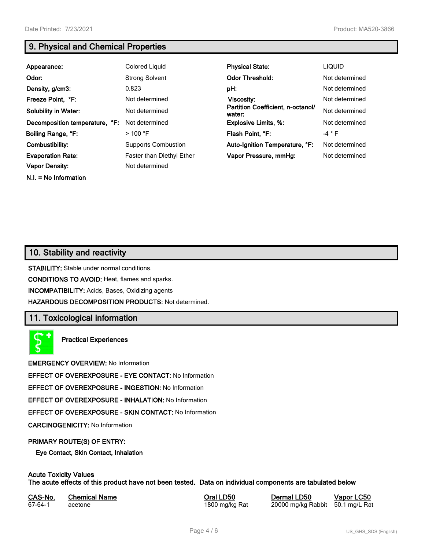**N.I. = No Information**

# **9. Physical and Chemical Properties**

| Appearance:                    | Colored Liquid                   | <b>Physical State:</b>                      | <b>LIQUID</b>  |
|--------------------------------|----------------------------------|---------------------------------------------|----------------|
| Odor:                          | <b>Strong Solvent</b>            | <b>Odor Threshold:</b>                      | Not determined |
| Density, g/cm3:                | 0.823                            | pH:                                         | Not determined |
| Freeze Point, °F:              | Not determined                   | Viscosity:                                  | Not determined |
| <b>Solubility in Water:</b>    | Not determined                   | Partition Coefficient, n-octanol/<br>water: | Not determined |
| Decomposition temperature, °F: | Not determined                   | <b>Explosive Limits, %:</b>                 | Not determined |
| Boiling Range, °F:             | $>$ 100 °F                       | Flash Point, °F:                            | $-4$ $\circ$ F |
| Combustibility:                | <b>Supports Combustion</b>       | Auto-Ignition Temperature, °F:              | Not determined |
| <b>Evaporation Rate:</b>       | <b>Faster than Diethyl Ether</b> | Vapor Pressure, mmHg:                       | Not determined |
| <b>Vapor Density:</b>          | Not determined                   |                                             |                |

# **10. Stability and reactivity**

**STABILITY:** Stable under normal conditions.

**CONDITIONS TO AVOID:** Heat, flames and sparks.

**INCOMPATIBILITY:** Acids, Bases, Oxidizing agents

**HAZARDOUS DECOMPOSITION PRODUCTS:** Not determined.

# **11. Toxicological information**

**Practical Experiences**

**EMERGENCY OVERVIEW:** No Information

**EFFECT OF OVEREXPOSURE - EYE CONTACT:** No Information

**EFFECT OF OVEREXPOSURE - INGESTION:** No Information

**EFFECT OF OVEREXPOSURE - INHALATION:** No Information

**EFFECT OF OVEREXPOSURE - SKIN CONTACT:** No Information

**CARCINOGENICITY:** No Information

#### **PRIMARY ROUTE(S) OF ENTRY:**

**Eye Contact, Skin Contact, Inhalation**

# **Acute Toxicity Values**

**The acute effects of this product have not been tested. Data on individual components are tabulated below**

| CAS-No. | <b>Chemical Name</b> |
|---------|----------------------|
| 67-64-1 | acetone              |

**Casary Chemical Chemical LD50 Chemical LD50 Vapor LC50** 1800 mg/kg Rat 20000 mg/kg Rabbit 50.1 mg/L Rat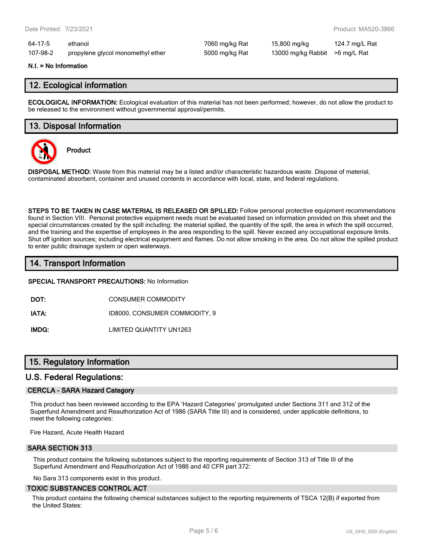64-17-5 ethanol 7060 mg/kg Rat 15,800 mg/kg 124.7 mg/L Rat 107-98-2 propylene glycol monomethyl ether 5000 mg/kg Rat 13000 mg/kg Rabbit >6 mg/L Rat

#### **N.I. = No Information**

## **12. Ecological information**

**ECOLOGICAL INFORMATION:** Ecological evaluation of this material has not been performed; however, do not allow the product to be released to the environment without governmental approval/permits.

## **13. Disposal Information**



**Product**

**DISPOSAL METHOD:** Waste from this material may be a listed and/or characteristic hazardous waste. Dispose of material, contaminated absorbent, container and unused contents in accordance with local, state, and federal regulations.

**STEPS TO BE TAKEN IN CASE MATERIAL IS RELEASED OR SPILLED:** Follow personal protective equipment recommendations found in Section VIII. Personal protective equipment needs must be evaluated based on information provided on this sheet and the special circumstances created by the spill including; the material spilled, the quantity of the spill, the area in which the spill occurred, and the training and the expertise of employees in the area responding to the spill. Never exceed any occupational exposure limits. Shut off ignition sources; including electrical equipment and flames. Do not allow smoking in the area. Do not allow the spilled product to enter public drainage system or open waterways.

# **14. Transport Information**

**SPECIAL TRANSPORT PRECAUTIONS:** No Information

**DOT:** CONSUMER COMMODITY

**IATA:** ID8000, CONSUMER COMMODITY, 9

**IMDG:** LIMITED QUANTITY UN1263

# **15. Regulatory Information**

### **U.S. Federal Regulations:**

#### **CERCLA - SARA Hazard Category**

This product has been reviewed according to the EPA 'Hazard Categories' promulgated under Sections 311 and 312 of the Superfund Amendment and Reauthorization Act of 1986 (SARA Title III) and is considered, under applicable definitions, to meet the following categories:

Fire Hazard, Acute Health Hazard

#### **SARA SECTION 313**

This product contains the following substances subject to the reporting requirements of Section 313 of Title III of the Superfund Amendment and Reauthorization Act of 1986 and 40 CFR part 372:

No Sara 313 components exist in this product.

#### **TOXIC SUBSTANCES CONTROL ACT**

This product contains the following chemical substances subject to the reporting requirements of TSCA 12(B) if exported from the United States: